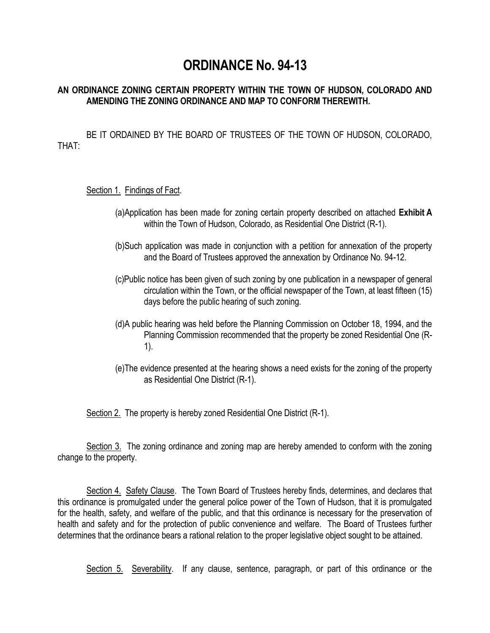# **ORDINANCE No. 94-13**

## **AN ORDINANCE ZONING CERTAIN PROPERTY WITHIN THE TOWN OF HUDSON, COLORADO AND AMENDING THE ZONING ORDINANCE AND MAP TO CONFORM THEREWITH.**

BE IT ORDAINED BY THE BOARD OF TRUSTEES OF THE TOWN OF HUDSON, COLORADO, THAT:

## Section 1. Findings of Fact.

- (a)Application has been made for zoning certain property described on attached **Exhibit A** within the Town of Hudson, Colorado, as Residential One District (R-1).
- (b)Such application was made in conjunction with a petition for annexation of the property and the Board of Trustees approved the annexation by Ordinance No. 94-12.
- (c)Public notice has been given of such zoning by one publication in a newspaper of general circulation within the Town, or the official newspaper of the Town, at least fifteen (15) days before the public hearing of such zoning.
- (d)A public hearing was held before the Planning Commission on October 18, 1994, and the Planning Commission recommended that the property be zoned Residential One (R-1).
- (e)The evidence presented at the hearing shows a need exists for the zoning of the property as Residential One District (R-1).

Section 2. The property is hereby zoned Residential One District (R-1).

Section 3. The zoning ordinance and zoning map are hereby amended to conform with the zoning change to the property.

Section 4. Safety Clause. The Town Board of Trustees hereby finds, determines, and declares that this ordinance is promulgated under the general police power of the Town of Hudson, that it is promulgated for the health, safety, and welfare of the public, and that this ordinance is necessary for the preservation of health and safety and for the protection of public convenience and welfare. The Board of Trustees further determines that the ordinance bears a rational relation to the proper legislative object sought to be attained.

Section 5. Severability. If any clause, sentence, paragraph, or part of this ordinance or the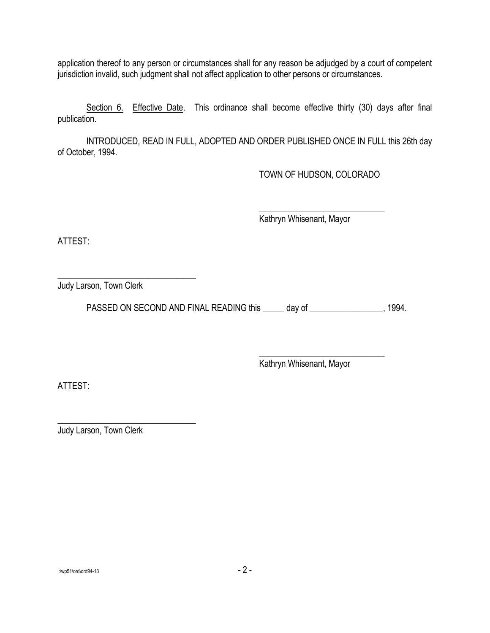application thereof to any person or circumstances shall for any reason be adjudged by a court of competent jurisdiction invalid, such judgment shall not affect application to other persons or circumstances.

Section 6. Effective Date. This ordinance shall become effective thirty (30) days after final publication.

INTRODUCED, READ IN FULL, ADOPTED AND ORDER PUBLISHED ONCE IN FULL this 26th day of October, 1994.

TOWN OF HUDSON, COLORADO

\_\_\_\_\_\_\_\_\_\_\_\_\_\_\_\_\_\_\_\_\_\_\_\_\_\_\_\_\_

Kathryn Whisenant, Mayor

ATTEST:

\_\_\_\_\_\_\_\_\_\_\_\_\_\_\_\_\_\_\_\_\_\_\_\_\_\_\_\_\_\_\_\_ Judy Larson, Town Clerk

PASSED ON SECOND AND FINAL READING this day of \_\_\_\_\_\_\_\_\_\_\_\_\_\_\_\_\_\_\_\_\_, 1994.

Kathryn Whisenant, Mayor

\_\_\_\_\_\_\_\_\_\_\_\_\_\_\_\_\_\_\_\_\_\_\_\_\_\_\_\_\_

ATTEST:

\_\_\_\_\_\_\_\_\_\_\_\_\_\_\_\_\_\_\_\_\_\_\_\_\_\_\_\_\_\_\_\_ Judy Larson, Town Clerk